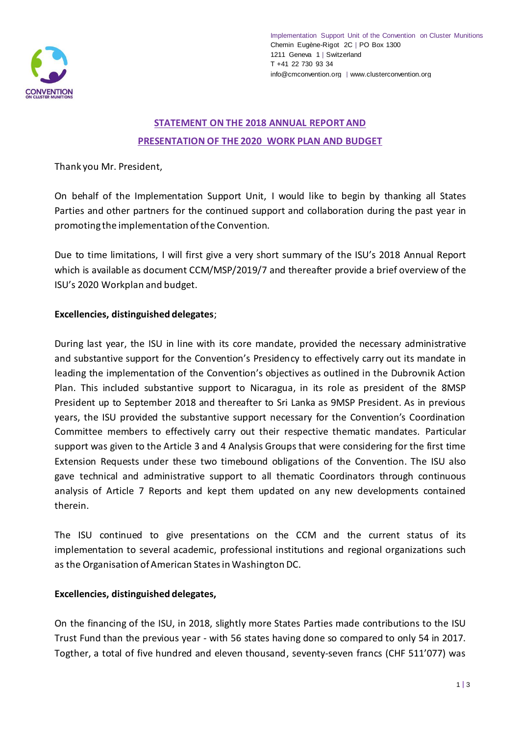

# **STATEMENT ON THE 2018 ANNUAL REPORT AND PRESENTATION OF THE 2020 WORK PLAN AND BUDGET**

## Thank you Mr. President,

On behalf of the Implementation Support Unit, I would like to begin by thanking all States Parties and other partners for the continued support and collaboration during the past year in promoting the implementation of the Convention.

Due to time limitations, I will first give a very short summary of the ISU's 2018 Annual Report which is available as document CCM/MSP/2019/7 and thereafter provide a brief overview of the ISU's 2020 Workplan and budget.

## **Excellencies, distinguished delegates**;

During last year, the ISU in line with its core mandate, provided the necessary administrative and substantive support for the Convention's Presidency to effectively carry out its mandate in leading the implementation of the Convention's objectives as outlined in the Dubrovnik Action Plan. This included substantive support to Nicaragua, in its role as president of the 8MSP President up to September 2018 and thereafter to Sri Lanka as 9MSP President. As in previous years, the ISU provided the substantive support necessary for the Convention's Coordination Committee members to effectively carry out their respective thematic mandates. Particular support was given to the Article 3 and 4 Analysis Groups that were considering for the first time Extension Requests under these two timebound obligations of the Convention. The ISU also gave technical and administrative support to all thematic Coordinators through continuous analysis of Article 7 Reports and kept them updated on any new developments contained therein.

The ISU continued to give presentations on the CCM and the current status of its implementation to several academic, professional institutions and regional organizations such as the Organisation of American States in Washington DC.

### **Excellencies, distinguished delegates,**

On the financing of the ISU, in 2018, slightly more States Parties made contributions to the ISU Trust Fund than the previous year - with 56 states having done so compared to only 54 in 2017. Togther, a total of five hundred and eleven thousand, seventy-seven francs (CHF 511'077) was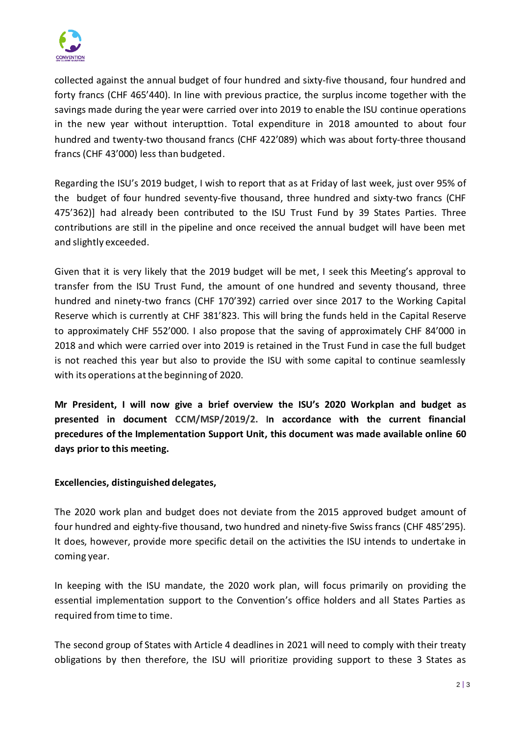

collected against the annual budget of four hundred and sixty-five thousand, four hundred and forty francs (CHF 465'440). In line with previous practice, the surplus income together with the savings made during the year were carried over into 2019 to enable the ISU continue operations in the new year without interupttion. Total expenditure in 2018 amounted to about four hundred and twenty-two thousand francs (CHF 422'089) which was about forty-three thousand francs (CHF 43'000) less than budgeted.

Regarding the ISU's 2019 budget, I wish to report that as at Friday of last week, just over 95% of the budget of four hundred seventy-five thousand, three hundred and sixty-two francs (CHF 475'362)] had already been contributed to the ISU Trust Fund by 39 States Parties. Three contributions are still in the pipeline and once received the annual budget will have been met and slightly exceeded.

Given that it is very likely that the 2019 budget will be met, I seek this Meeting's approval to transfer from the ISU Trust Fund, the amount of one hundred and seventy thousand, three hundred and ninety-two francs (CHF 170'392) carried over since 2017 to the Working Capital Reserve which is currently at CHF 381'823. This will bring the funds held in the Capital Reserve to approximately CHF 552'000. I also propose that the saving of approximately CHF 84'000 in 2018 and which were carried over into 2019 is retained in the Trust Fund in case the full budget is not reached this year but also to provide the ISU with some capital to continue seamlessly with its operations at the beginning of 2020.

**Mr President, I will now give a brief overview the ISU's 2020 Workplan and budget as presented in document CCM/MSP/2019/2. In accordance with the current financial precedures of the Implementation Support Unit, this document was made available online 60 days prior to this meeting.**

### **Excellencies, distinguished delegates,**

The 2020 work plan and budget does not deviate from the 2015 approved budget amount of four hundred and eighty-five thousand, two hundred and ninety-five Swiss francs (CHF 485'295). It does, however, provide more specific detail on the activities the ISU intends to undertake in coming year.

In keeping with the ISU mandate, the 2020 work plan, will focus primarily on providing the essential implementation support to the Convention's office holders and all States Parties as required from time to time.

The second group of States with Article 4 deadlines in 2021 will need to comply with their treaty obligations by then therefore, the ISU will prioritize providing support to these 3 States as